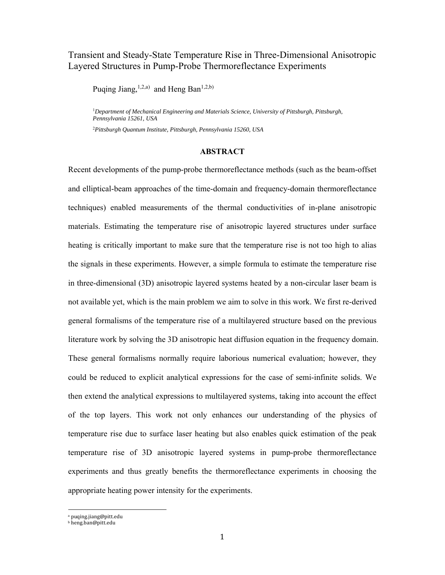### Transient and Steady-State Temperature Rise in Three-Dimensional Anisotropic Layered Structures in Pump-Probe Thermoreflectance Experiments

Puqing Jiang,  $^{1,2,a)}$  and Heng Ban<sup>1,2,b)</sup>

<sup>1</sup>Department of Mechanical Engineering and Materials Science, University of Pittsburgh, Pittsburgh, *Pennsylvania 15261, USA* 

2 *Pittsburgh Quantum Institute, Pittsburgh, Pennsylvania 15260, USA* 

### **ABSTRACT**

Recent developments of the pump-probe thermoreflectance methods (such as the beam-offset and elliptical-beam approaches of the time-domain and frequency-domain thermoreflectance techniques) enabled measurements of the thermal conductivities of in-plane anisotropic materials. Estimating the temperature rise of anisotropic layered structures under surface heating is critically important to make sure that the temperature rise is not too high to alias the signals in these experiments. However, a simple formula to estimate the temperature rise in three-dimensional (3D) anisotropic layered systems heated by a non-circular laser beam is not available yet, which is the main problem we aim to solve in this work. We first re-derived general formalisms of the temperature rise of a multilayered structure based on the previous literature work by solving the 3D anisotropic heat diffusion equation in the frequency domain. These general formalisms normally require laborious numerical evaluation; however, they could be reduced to explicit analytical expressions for the case of semi-infinite solids. We then extend the analytical expressions to multilayered systems, taking into account the effect of the top layers. This work not only enhances our understanding of the physics of temperature rise due to surface laser heating but also enables quick estimation of the peak temperature rise of 3D anisotropic layered systems in pump-probe thermoreflectance experiments and thus greatly benefits the thermoreflectance experiments in choosing the appropriate heating power intensity for the experiments.

a puqing.jiang@pitt.edu

b heng.ban@pitt.edu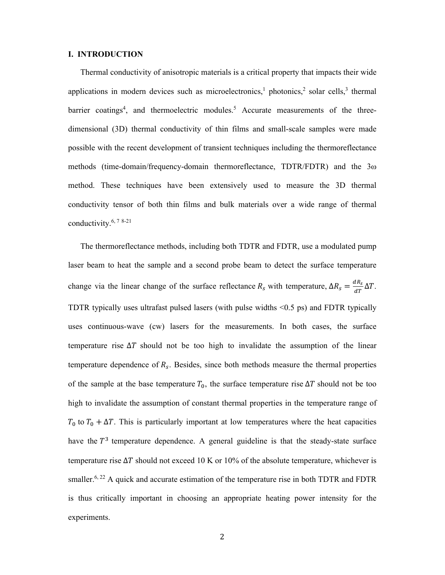#### **I. INTRODUCTION**

Thermal conductivity of anisotropic materials is a critical property that impacts their wide applications in modern devices such as microelectronics,<sup>1</sup> photonics,<sup>2</sup> solar cells,<sup>3</sup> thermal barrier coatings<sup>4</sup>, and thermoelectric modules.<sup>5</sup> Accurate measurements of the threedimensional (3D) thermal conductivity of thin films and small-scale samples were made possible with the recent development of transient techniques including the thermoreflectance methods (time-domain/frequency-domain thermoreflectance, TDTR/FDTR) and the 3ω method. These techniques have been extensively used to measure the 3D thermal conductivity tensor of both thin films and bulk materials over a wide range of thermal conductivity. $6, 7, 8-21$ 

The thermoreflectance methods, including both TDTR and FDTR, use a modulated pump laser beam to heat the sample and a second probe beam to detect the surface temperature change via the linear change of the surface reflectance  $R_s$  with temperature,  $\Delta R_s = \frac{dR_s}{dT} \Delta T$ . TDTR typically uses ultrafast pulsed lasers (with pulse widths <0.5 ps) and FDTR typically uses continuous-wave (cw) lasers for the measurements. In both cases, the surface temperature rise  $\Delta T$  should not be too high to invalidate the assumption of the linear temperature dependence of  $R_s$ . Besides, since both methods measure the thermal properties of the sample at the base temperature  $T_0$ , the surface temperature rise  $\Delta T$  should not be too high to invalidate the assumption of constant thermal properties in the temperature range of  $T_0$  to  $T_0 + \Delta T$ . This is particularly important at low temperatures where the heat capacities have the  $T<sup>3</sup>$  temperature dependence. A general guideline is that the steady-state surface temperature rise  $\Delta T$  should not exceed 10 K or 10% of the absolute temperature, whichever is smaller.<sup>6, 22</sup> A quick and accurate estimation of the temperature rise in both TDTR and FDTR is thus critically important in choosing an appropriate heating power intensity for the experiments.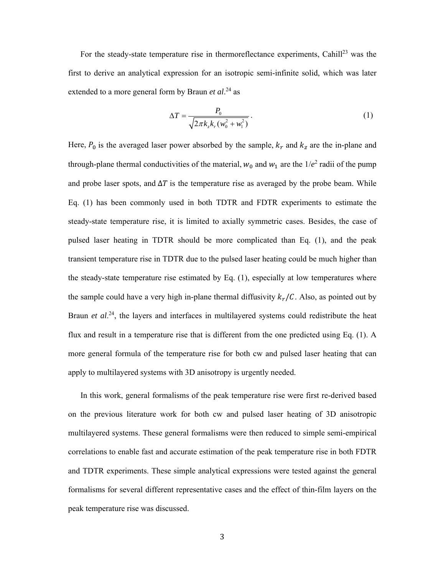For the steady-state temperature rise in thermoreflectance experiments, Cahill<sup>23</sup> was the first to derive an analytical expression for an isotropic semi-infinite solid, which was later extended to a more general form by Braun *et al*. 24 as

$$
\Delta T = \frac{P_0}{\sqrt{2\pi k_z k_r (w_0^2 + w_1^2)}}.
$$
 (1)

Here,  $P_0$  is the averaged laser power absorbed by the sample,  $k_r$  and  $k_z$  are the in-plane and through-plane thermal conductivities of the material,  $w_0$  and  $w_1$  are the  $1/e^2$  radii of the pump and probe laser spots, and  $\Delta T$  is the temperature rise as averaged by the probe beam. While Eq. (1) has been commonly used in both TDTR and FDTR experiments to estimate the steady-state temperature rise, it is limited to axially symmetric cases. Besides, the case of pulsed laser heating in TDTR should be more complicated than Eq. (1), and the peak transient temperature rise in TDTR due to the pulsed laser heating could be much higher than the steady-state temperature rise estimated by Eq. (1), especially at low temperatures where the sample could have a very high in-plane thermal diffusivity  $k_r / C$ . Also, as pointed out by Braun *et al.*<sup>24</sup>, the layers and interfaces in multilayered systems could redistribute the heat flux and result in a temperature rise that is different from the one predicted using Eq. (1). A more general formula of the temperature rise for both cw and pulsed laser heating that can apply to multilayered systems with 3D anisotropy is urgently needed.

In this work, general formalisms of the peak temperature rise were first re-derived based on the previous literature work for both cw and pulsed laser heating of 3D anisotropic multilayered systems. These general formalisms were then reduced to simple semi-empirical correlations to enable fast and accurate estimation of the peak temperature rise in both FDTR and TDTR experiments. These simple analytical expressions were tested against the general formalisms for several different representative cases and the effect of thin-film layers on the peak temperature rise was discussed.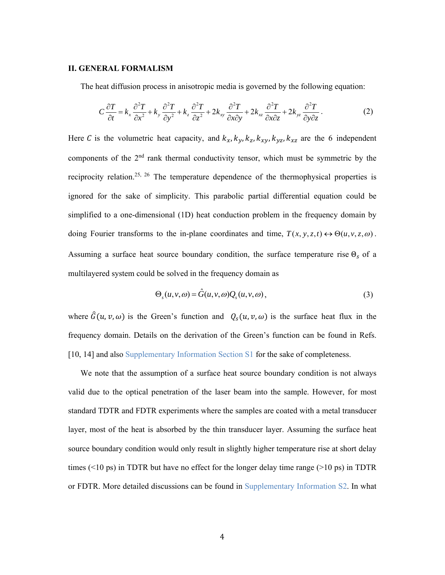### **II. GENERAL FORMALISM**

The heat diffusion process in anisotropic media is governed by the following equation:

$$
C\frac{\partial T}{\partial t} = k_x \frac{\partial^2 T}{\partial x^2} + k_y \frac{\partial^2 T}{\partial y^2} + k_z \frac{\partial^2 T}{\partial z^2} + 2k_{xy} \frac{\partial^2 T}{\partial x \partial y} + 2k_{xz} \frac{\partial^2 T}{\partial x \partial z} + 2k_{yz} \frac{\partial^2 T}{\partial y \partial z}.
$$
 (2)

Here C is the volumetric heat capacity, and  $k_x$ ,  $k_y$ ,  $k_z$ ,  $k_{xy}$ ,  $k_{yz}$ ,  $k_{xz}$  are the 6 independent components of the 2nd rank thermal conductivity tensor, which must be symmetric by the reciprocity relation.<sup>25, 26</sup> The temperature dependence of the thermophysical properties is ignored for the sake of simplicity. This parabolic partial differential equation could be simplified to a one-dimensional (1D) heat conduction problem in the frequency domain by doing Fourier transforms to the in-plane coordinates and time,  $T(x, y, z, t) \leftrightarrow \Theta(u, v, z, \omega)$ . Assuming a surface heat source boundary condition, the surface temperature rise  $\Theta_s$  of a multilayered system could be solved in the frequency domain as

$$
\Theta_s(u, v, \omega) = \hat{G}(u, v, \omega) Q_s(u, v, \omega), \qquad (3)
$$

where  $\hat{G}(u, v, \omega)$  is the Green's function and  $Q_s(u, v, \omega)$  is the surface heat flux in the frequency domain. Details on the derivation of the Green's function can be found in Refs. [10, 14] and also Supplementary Information Section S1 for the sake of completeness.

We note that the assumption of a surface heat source boundary condition is not always valid due to the optical penetration of the laser beam into the sample. However, for most standard TDTR and FDTR experiments where the samples are coated with a metal transducer layer, most of the heat is absorbed by the thin transducer layer. Assuming the surface heat source boundary condition would only result in slightly higher temperature rise at short delay times ( $\leq 10$  ps) in TDTR but have no effect for the longer delay time range ( $\geq 10$  ps) in TDTR or FDTR. More detailed discussions can be found in Supplementary Information S2. In what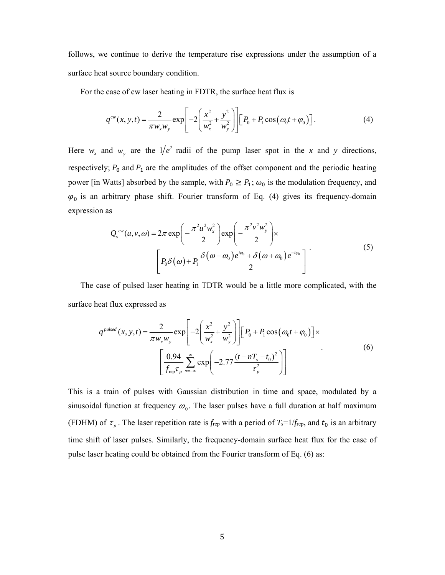follows, we continue to derive the temperature rise expressions under the assumption of a surface heat source boundary condition.

For the case of cw laser heating in FDTR, the surface heat flux is

$$
q^{cw}(x, y, t) = \frac{2}{\pi w_x w_y} \exp\left[-2\left(\frac{x^2}{w_x^2} + \frac{y^2}{w_y^2}\right)\right] \left[P_0 + P_1 \cos\left(\omega_0 t + \varphi_0\right)\right].\tag{4}
$$

Here  $w_x$  and  $w_y$  are the 1/ $e^2$  radii of the pump laser spot in the *x* and *y* directions, respectively;  $P_0$  and  $P_1$  are the amplitudes of the offset component and the periodic heating power [in Watts] absorbed by the sample, with  $P_0 \ge P_1$ ;  $\omega_0$  is the modulation frequency, and  $\varphi_0$  is an arbitrary phase shift. Fourier transform of Eq. (4) gives its frequency-domain expression as

$$
Q_s^{cw}(u, v, \omega) = 2\pi \exp\left(-\frac{\pi^2 u^2 w_x^2}{2}\right) \exp\left(-\frac{\pi^2 v^2 w_y^2}{2}\right) \times \left[P_0 \delta(\omega) + P_1 \frac{\delta(\omega - \omega_0) e^{i\varphi_0} + \delta(\omega + \omega_0) e^{-i\varphi_0}}{2}\right]
$$
(5)

The case of pulsed laser heating in TDTR would be a little more complicated, with the surface heat flux expressed as

$$
q^{pulsed}(x, y, t) = \frac{2}{\pi w_x w_y} \exp\left[-2\left(\frac{x^2}{w_x^2} + \frac{y^2}{w_y^2}\right)\right] \left[P_0 + P_1 \cos(\omega_0 t + \varphi_0)\right] \times
$$
  

$$
\left[\frac{0.94}{f_{\text{rep}} \tau_p} \sum_{n=-\infty}^{\infty} \exp\left(-2.77 \frac{(t - nT_s - t_0)^2}{\tau_p^2}\right)\right]
$$
 (6)

This is a train of pulses with Gaussian distribution in time and space, modulated by a sinusoidal function at frequency  $\omega_0$ . The laser pulses have a full duration at half maximum (FDHM) of  $\tau_p$ . The laser repetition rate is  $f_{\text{rep}}$  with a period of  $T_s=1/f_{\text{rep}}$ , and  $t_0$  is an arbitrary time shift of laser pulses. Similarly, the frequency-domain surface heat flux for the case of pulse laser heating could be obtained from the Fourier transform of Eq. (6) as: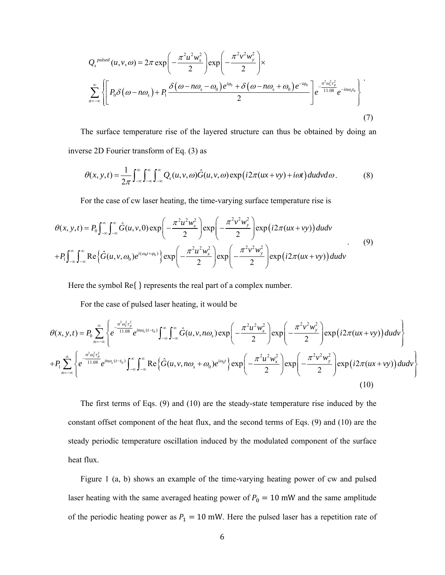$$
Q_s^{pulsed}(u, v, \omega) = 2\pi \exp\left(-\frac{\pi^2 u^2 w_x^2}{2}\right) \exp\left(-\frac{\pi^2 v^2 w_y^2}{2}\right) \times
$$
  

$$
\sum_{n=-\infty}^{\infty} \left\{ \left[ P_0 \delta\left(\omega - n\omega_s\right) + P_1 \frac{\delta\left(\omega - n\omega_s - \omega_0\right) e^{i\varphi_0} + \delta\left(\omega - n\omega_s + \omega_0\right) e^{-i\varphi_0}}{2} \right] e^{-\frac{n^2 \omega_s^2 r_p^2}{11.08}} e^{-in\omega_s t_0} \right\}
$$
(7)

The surface temperature rise of the layered structure can thus be obtained by doing an inverse 2D Fourier transform of Eq. (3) as

$$
\theta(x, y, t) = \frac{1}{2\pi} \int_{-\infty}^{\infty} \int_{-\infty}^{\infty} \int_{-\infty}^{\infty} Q_s(u, v, \omega) \hat{G}(u, v, \omega) \exp(i2\pi(ux + vy) + i\omega t) du dv d\omega.
$$
 (8)

For the case of cw laser heating, the time-varying surface temperature rise is

$$
\theta(x, y, t) = P_0 \int_{-\infty}^{\infty} \int_{-\infty}^{\infty} \hat{G}(u, v, 0) \exp\left(-\frac{\pi^2 u^2 w_x^2}{2}\right) \exp\left(-\frac{\pi^2 v^2 w_y^2}{2}\right) \exp\left(i2\pi(ux + vy)\right) du dv
$$
  
+
$$
P_1 \int_{-\infty}^{\infty} \int_{-\infty}^{\infty} \text{Re}\left\{\hat{G}(u, v, \omega_0) e^{i(\omega_0 t + \varphi_0)}\right\} \exp\left(-\frac{\pi^2 u^2 w_x^2}{2}\right) \exp\left(-\frac{\pi^2 v^2 w_y^2}{2}\right) \exp\left(i2\pi(ux + vy)\right) du dv
$$
\n(9)

Here the symbol  $\text{Re}\{\}$  represents the real part of a complex number.

For the case of pulsed laser heating, it would be

$$
\theta(x, y, t) = P_0 \sum_{n=-\infty}^{\infty} \left\{ e^{\frac{-n^2 \omega_s^2 \tau_p^2}{11.08}} e^{in\omega_s(t-t_0)} \int_{-\infty}^{\infty} \int_{-\infty}^{\infty} \hat{G}(u, v, n\omega_s) \exp\left(-\frac{\pi^2 u^2 w_x^2}{2}\right) \exp\left(-\frac{\pi^2 v^2 w_y^2}{2}\right) \exp\left(i2\pi(ux+vy)\right) du dv \right\}
$$
  
+ 
$$
P_1 \sum_{n=-\infty}^{\infty} \left\{ e^{\frac{-n^2 \omega_s^2 \tau_p^2}{11.08}} e^{in\omega_s(t-t_0)} \int_{-\infty}^{\infty} \int_{-\infty}^{\infty} \text{Re}\left\{ \hat{G}(u, v, n\omega_s + \omega_0) e^{i\omega_0 t} \right\} \exp\left(-\frac{\pi^2 u^2 w_x^2}{2}\right) \exp\left(-\frac{\pi^2 v^2 w_y^2}{2}\right) \exp\left(i2\pi(ux+vy)\right) du dv \right\}
$$
(10)

The first terms of Eqs. (9) and (10) are the steady-state temperature rise induced by the constant offset component of the heat flux, and the second terms of Eqs. (9) and (10) are the steady periodic temperature oscillation induced by the modulated component of the surface heat flux.

Figure 1 (a, b) shows an example of the time-varying heating power of cw and pulsed laser heating with the same averaged heating power of  $P_0 = 10$  mW and the same amplitude of the periodic heating power as  $P_1 = 10$  mW. Here the pulsed laser has a repetition rate of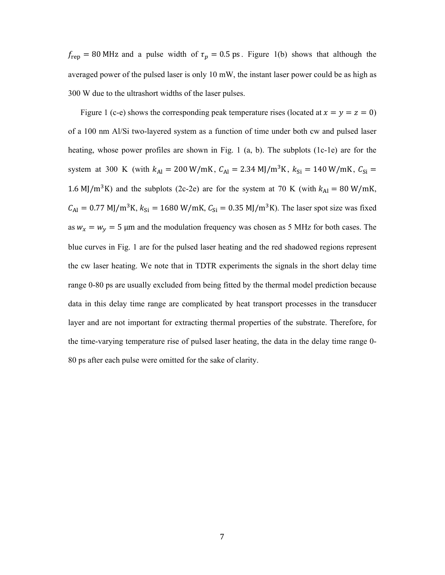$f_{\text{rep}} = 80 \text{ MHz}$  and a pulse width of  $\tau_p = 0.5 \text{ ps}$ . Figure 1(b) shows that although the averaged power of the pulsed laser is only 10 mW, the instant laser power could be as high as 300 W due to the ultrashort widths of the laser pulses.

Figure 1 (c-e) shows the corresponding peak temperature rises (located at  $x = y = z = 0$ ) of a 100 nm Al/Si two-layered system as a function of time under both cw and pulsed laser heating, whose power profiles are shown in Fig. 1 (a, b). The subplots (1c-1e) are for the system at 300 K (with  $k_{\text{Al}} = 200 \text{ W/mK}$ ,  $C_{\text{Al}} = 2.34 \text{ MJ/m}^3 \text{K}$ ,  $k_{\text{Si}} = 140 \text{ W/mK}$ ,  $C_{\text{Si}} =$ 1.6 MJ/m<sup>3</sup>K) and the subplots (2c-2e) are for the system at 70 K (with  $k_{\text{Al}} = 80 \text{ W/mK}$ ,  $C_{\text{Al}} = 0.77 \text{ MJ/m}^3 \text{K}, k_{\text{Si}} = 1680 \text{ W/mK}, C_{\text{Si}} = 0.35 \text{ MJ/m}^3 \text{K}.$  The laser spot size was fixed as  $w_x = w_y = 5$  µm and the modulation frequency was chosen as 5 MHz for both cases. The blue curves in Fig. 1 are for the pulsed laser heating and the red shadowed regions represent the cw laser heating. We note that in TDTR experiments the signals in the short delay time range 0-80 ps are usually excluded from being fitted by the thermal model prediction because data in this delay time range are complicated by heat transport processes in the transducer layer and are not important for extracting thermal properties of the substrate. Therefore, for the time-varying temperature rise of pulsed laser heating, the data in the delay time range 0- 80 ps after each pulse were omitted for the sake of clarity.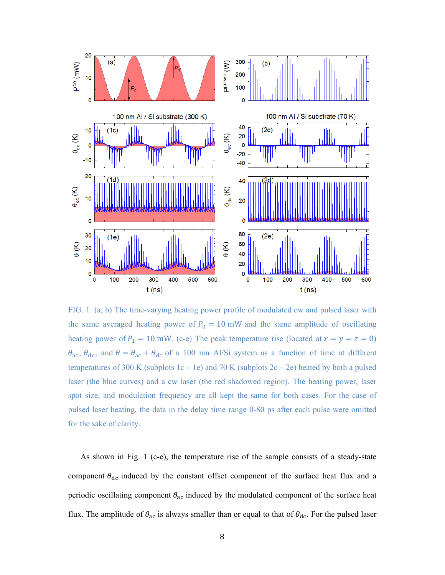

FIG. 1. (a, b) The time-varying heating power profile of modulated cw and pulsed laser with the same averaged heating power of  $P_0 = 10$  mW and the same amplitude of oscillating heating power of  $P_1 = 10$  mW. (c-e) The peak temperature rise (located at  $x = y = z = 0$ )  $\theta_{ac}$ ,  $\theta_{dc}$ , and  $\theta = \theta_{ac} + \theta_{dc}$  of a 100 nm Al/Si system as a function of time at different temperatures of 300 K (subplots  $1c - 1e$ ) and 70 K (subplots  $2c - 2e$ ) heated by both a pulsed laser (the blue curves) and a cw laser (the red shadowed region). The heating power, laser spot size, and modulation frequency are all kept the same for both cases. For the case of pulsed laser heating, the data in the delay time range 0-80 ps after each pulse were omitted for the sake of clarity.

As shown in Fig. 1 (c-e), the temperature rise of the sample consists of a steady-state component  $\theta_{dc}$  induced by the constant offset component of the surface heat flux and a periodic oscillating component  $\theta_{ac}$  induced by the modulated component of the surface heat flux. The amplitude of  $\theta_{ac}$  is always smaller than or equal to that of  $\theta_{dc}$ . For the pulsed laser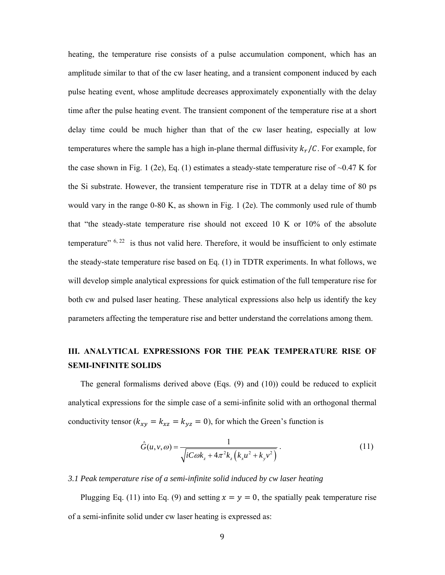heating, the temperature rise consists of a pulse accumulation component, which has an amplitude similar to that of the cw laser heating, and a transient component induced by each pulse heating event, whose amplitude decreases approximately exponentially with the delay time after the pulse heating event. The transient component of the temperature rise at a short delay time could be much higher than that of the cw laser heating, especially at low temperatures where the sample has a high in-plane thermal diffusivity  $k_r / C$ . For example, for the case shown in Fig. 1 (2e), Eq. (1) estimates a steady-state temperature rise of  $\sim 0.47$  K for the Si substrate. However, the transient temperature rise in TDTR at a delay time of 80 ps would vary in the range 0-80 K, as shown in Fig. 1 (2e). The commonly used rule of thumb that "the steady-state temperature rise should not exceed 10 K or 10% of the absolute temperature"  $6, 22$  is thus not valid here. Therefore, it would be insufficient to only estimate the steady-state temperature rise based on Eq. (1) in TDTR experiments. In what follows, we will develop simple analytical expressions for quick estimation of the full temperature rise for both cw and pulsed laser heating. These analytical expressions also help us identify the key parameters affecting the temperature rise and better understand the correlations among them.

## **III. ANALYTICAL EXPRESSIONS FOR THE PEAK TEMPERATURE RISE OF SEMI-INFINITE SOLIDS**

The general formalisms derived above  $(Eqs. (9)$  and  $(10))$  could be reduced to explicit analytical expressions for the simple case of a semi-infinite solid with an orthogonal thermal conductivity tensor ( $k_{xy} = k_{xz} = k_{yz} = 0$ ), for which the Green's function is

$$
\hat{G}(u,v,\omega) = \frac{1}{\sqrt{iC\omega k_z + 4\pi^2 k_z (k_x u^2 + k_y v^2)}}.
$$
\n(11)

*3.1 Peak temperature rise of a semi-infinite solid induced by cw laser heating* 

Plugging Eq. (11) into Eq. (9) and setting  $x = y = 0$ , the spatially peak temperature rise of a semi-infinite solid under cw laser heating is expressed as: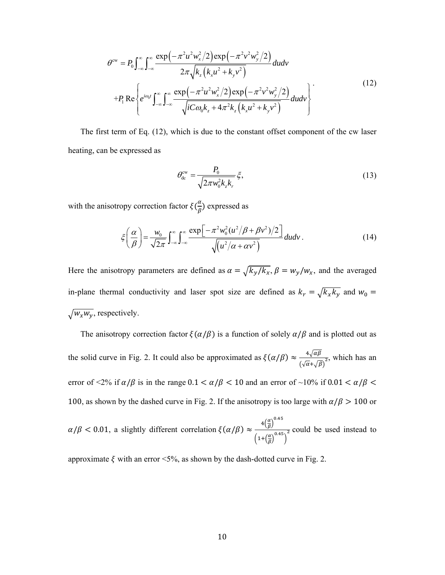$$
\theta^{\text{cw}} = P_0 \int_{-\infty}^{\infty} \int_{-\infty}^{\infty} \frac{\exp\left(-\pi^2 u^2 w_x^2 / 2\right) \exp\left(-\pi^2 v^2 w_y^2 / 2\right)}{2\pi \sqrt{k_z \left(k_x u^2 + k_y v^2\right)}} du dv
$$
  
+
$$
P_1 \text{Re}\left\{ e^{ia_0 t} \int_{-\infty}^{\infty} \int_{-\infty}^{\infty} \frac{\exp\left(-\pi^2 u^2 w_x^2 / 2\right) \exp\left(-\pi^2 v^2 w_y^2 / 2\right)}{\sqrt{i C \omega_0 k_z + 4\pi^2 k_z \left(k_x u^2 + k_y v^2\right)}} du dv \right\}.
$$
(12)

The first term of Eq. (12), which is due to the constant offset component of the cw laser heating, can be expressed as

$$
\theta_{\rm dc}^{\rm cw} = \frac{P_0}{\sqrt{2\pi w_0^2 k_z k_r}} \xi,\tag{13}
$$

with the anisotropy correction factor  $\xi(\frac{\alpha}{\beta})$  expressed as

$$
\xi\left(\frac{\alpha}{\beta}\right) = \frac{w_0}{\sqrt{2\pi}} \int_{-\infty}^{\infty} \int_{-\infty}^{\infty} \frac{\exp\left[-\pi^2 w_0^2 (u^2/\beta + \beta v^2)/2\right]}{\sqrt{(u^2/\alpha + \alpha v^2)}} du dv.
$$
 (14)

Here the anisotropy parameters are defined as  $\alpha = \sqrt{k_y/k_x}$ ,  $\beta = w_y/w_x$ , and the averaged in-plane thermal conductivity and laser spot size are defined as  $k_r = \sqrt{k_x k_y}$  and  $w_0 =$  $\sqrt{W_x W_y}$ , respectively.

The anisotropy correction factor  $\xi(\alpha/\beta)$  is a function of solely  $\alpha/\beta$  and is plotted out as the solid curve in Fig. 2. It could also be approximated as  $\xi(\alpha/\beta) \approx \frac{4\sqrt{\alpha\beta}}{\sqrt{2\pi}}$  $\frac{\partial^4 \sqrt{a}}{(\sqrt{\alpha} + \sqrt{\beta})^2}$ , which has an error of <2% if  $\alpha/\beta$  is in the range  $0.1 < \alpha/\beta < 10$  and an error of ~10% if  $0.01 < \alpha/\beta <$ 100, as shown by the dashed curve in Fig. 2. If the anisotropy is too large with  $\alpha/\beta > 100$  or

$$
\alpha/\beta
$$
 < 0.01, a slightly different correlation  $\xi(\alpha/\beta) \approx \frac{4(\frac{\alpha}{\beta})^{0.45}}{\left(1+(\frac{\alpha}{\beta})^{0.45}\right)^2}$  could be used instead to

approximate  $\xi$  with an error <5%, as shown by the dash-dotted curve in Fig. 2.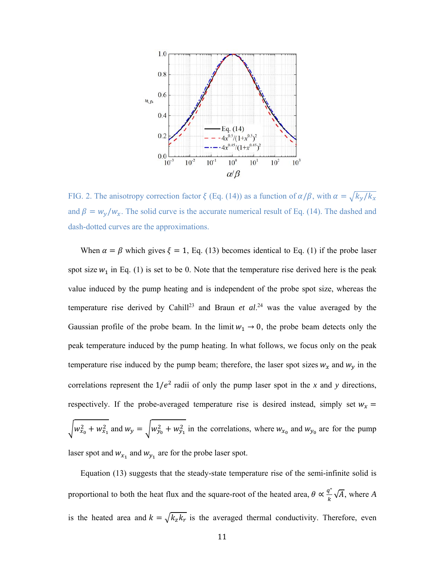

FIG. 2. The anisotropy correction factor  $\xi$  (Eq. (14)) as a function of  $\alpha/\beta$ , with  $\alpha = \sqrt{k_y/k_x}$ and  $\beta = w_y/w_x$ . The solid curve is the accurate numerical result of Eq. (14). The dashed and dash-dotted curves are the approximations.

When  $\alpha = \beta$  which gives  $\xi = 1$ , Eq. (13) becomes identical to Eq. (1) if the probe laser spot size  $w_1$  in Eq. (1) is set to be 0. Note that the temperature rise derived here is the peak value induced by the pump heating and is independent of the probe spot size, whereas the temperature rise derived by Cahill<sup>23</sup> and Braun *et al.*<sup>24</sup> was the value averaged by the Gaussian profile of the probe beam. In the limit  $w_1 \rightarrow 0$ , the probe beam detects only the peak temperature induced by the pump heating. In what follows, we focus only on the peak temperature rise induced by the pump beam; therefore, the laser spot sizes  $w_x$  and  $w_y$  in the correlations represent the  $1/e^2$  radii of only the pump laser spot in the *x* and *y* directions, respectively. If the probe-averaged temperature rise is desired instead, simply set  $w_x$  =  $\int w_{x_0}^2 + w_{x_1}^2$  and  $w_y = \int w_{y_0}^2 + w_{y_1}^2$  in the correlations, where  $w_{x_0}$  and  $w_{y_0}$  are for the pump laser spot and  $w_{x_1}$  and  $w_{y_1}$  are for the probe laser spot.

Equation (13) suggests that the steady-state temperature rise of the semi-infinite solid is proportional to both the heat flux and the square-root of the heated area,  $\theta \propto \frac{q^n}{k} \sqrt{A}$ , where A is the heated area and  $k = \sqrt{k_z k_r}$  is the averaged thermal conductivity. Therefore, even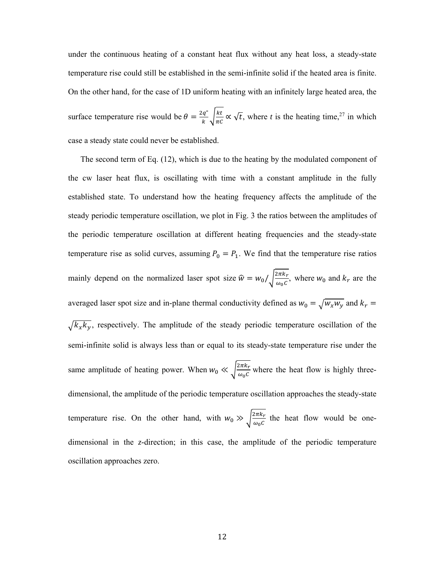under the continuous heating of a constant heat flux without any heat loss, a steady-state temperature rise could still be established in the semi-infinite solid if the heated area is finite. On the other hand, for the case of 1D uniform heating with an infinitely large heated area, the surface temperature rise would be  $\theta = \frac{2q^n}{k} \sqrt{\frac{kt}{\pi c}} \propto \sqrt{t}$ , where *t* is the heating time,<sup>27</sup> in which case a steady state could never be established.

The second term of Eq. (12), which is due to the heating by the modulated component of the cw laser heat flux, is oscillating with time with a constant amplitude in the fully established state. To understand how the heating frequency affects the amplitude of the steady periodic temperature oscillation, we plot in Fig. 3 the ratios between the amplitudes of the periodic temperature oscillation at different heating frequencies and the steady-state temperature rise as solid curves, assuming  $P_0 = P_1$ . We find that the temperature rise ratios mainly depend on the normalized laser spot size  $\hat{w} = w_0 / \sqrt{\frac{2\pi k_r}{\omega_0 c}}$ , where  $w_0$  and  $k_r$  are the averaged laser spot size and in-plane thermal conductivity defined as  $w_0 = \sqrt{w_x w_y}$  and  $k_r =$  $\sqrt{k_x k_y}$ , respectively. The amplitude of the steady periodic temperature oscillation of the semi-infinite solid is always less than or equal to its steady-state temperature rise under the same amplitude of heating power. When  $w_0 \ll \sqrt{\frac{2\pi k_r}{\omega_0 c}}$  where the heat flow is highly threedimensional, the amplitude of the periodic temperature oscillation approaches the steady-state temperature rise. On the other hand, with  $w_0 \gg \sqrt{\frac{2\pi k_r}{\omega_0 c}}$  the heat flow would be onedimensional in the *z*-direction; in this case, the amplitude of the periodic temperature oscillation approaches zero.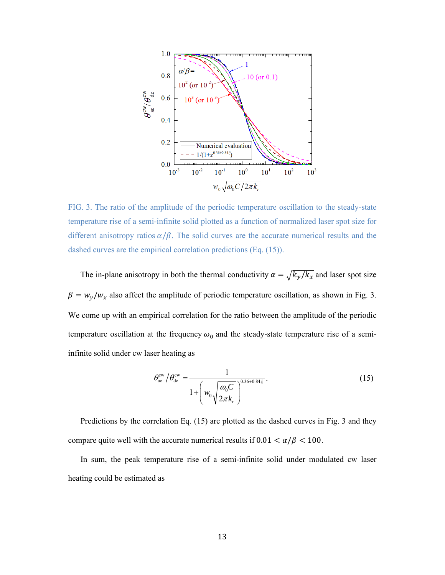

FIG. 3. The ratio of the amplitude of the periodic temperature oscillation to the steady-state temperature rise of a semi-infinite solid plotted as a function of normalized laser spot size for different anisotropy ratios  $\alpha/\beta$ . The solid curves are the accurate numerical results and the dashed curves are the empirical correlation predictions (Eq. (15)).

The in-plane anisotropy in both the thermal conductivity  $\alpha = \sqrt{k_y/k_x}$  and laser spot size  $\beta = w_y/w_x$  also affect the amplitude of periodic temperature oscillation, as shown in Fig. 3. We come up with an empirical correlation for the ratio between the amplitude of the periodic temperature oscillation at the frequency  $\omega_0$  and the steady-state temperature rise of a semiinfinite solid under cw laser heating as

$$
\theta_{\rm ac}^{\rm cw} / \theta_{\rm dc}^{\rm cw} = \frac{1}{1 + \left( w_0 \sqrt{\frac{\omega_0 C}{2\pi k_r}} \right)^{0.36 + 0.84\zeta}}.
$$
\n(15)

Predictions by the correlation Eq. (15) are plotted as the dashed curves in Fig. 3 and they compare quite well with the accurate numerical results if  $0.01 < \alpha/\beta < 100$ .

In sum, the peak temperature rise of a semi-infinite solid under modulated cw laser heating could be estimated as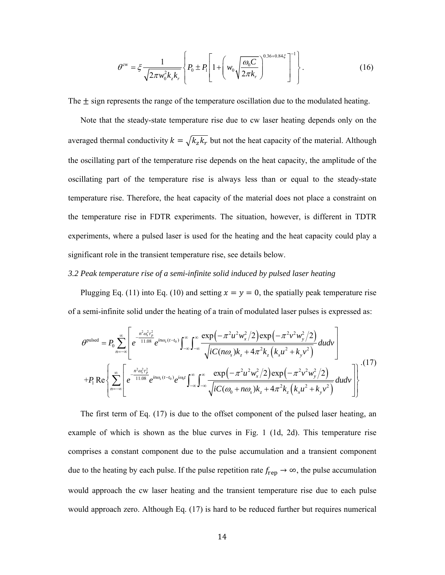$$
\theta^{\text{cw}} = \xi \frac{1}{\sqrt{2\pi w_0^2 k_z k_r}} \left\{ P_0 \pm P_1 \left[ 1 + \left( w_0 \sqrt{\frac{\omega_0 C}{2\pi k_r}} \right)^{0.36 + 0.84 \xi} \right]^{-1} \right\}.
$$
 (16)

The  $\pm$  sign represents the range of the temperature oscillation due to the modulated heating.

Note that the steady-state temperature rise due to cw laser heating depends only on the averaged thermal conductivity  $k = \sqrt{k_z k_r}$  but not the heat capacity of the material. Although the oscillating part of the temperature rise depends on the heat capacity, the amplitude of the oscillating part of the temperature rise is always less than or equal to the steady-state temperature rise. Therefore, the heat capacity of the material does not place a constraint on the temperature rise in FDTR experiments. The situation, however, is different in TDTR experiments, where a pulsed laser is used for the heating and the heat capacity could play a significant role in the transient temperature rise, see details below.

### *3.2 Peak temperature rise of a semi-infinite solid induced by pulsed laser heating*

Plugging Eq. (11) into Eq. (10) and setting  $x = y = 0$ , the spatially peak temperature rise of a semi-infinite solid under the heating of a train of modulated laser pulses is expressed as:

$$
\theta^{\text{pulsed}} = P_0 \sum_{n=-\infty}^{\infty} \left[ e^{\frac{n^2 \omega_s^2 \tau_p^2}{11.08}} e^{in\omega_s (t-t_0)} \int_{-\infty}^{\infty} \int_{-\infty}^{\infty} \frac{\exp\left(-\pi^2 u^2 w_x^2/2\right) \exp\left(-\pi^2 v^2 w_y^2/2\right)}{\sqrt{i C(n\omega_s) k_z + 4\pi^2 k_z \left(k_x u^2 + k_y v^2\right)}} dudv \right] + P_1 \text{Re} \left\{ \sum_{n=-\infty}^{\infty} \left[ e^{\frac{n^2 \omega_s^2 \tau_p^2}{11.08}} e^{in\omega_s (t-t_0)} e^{i\omega_0 t} \int_{-\infty}^{\infty} \int_{-\infty}^{\infty} \frac{\exp\left(-\pi^2 u^2 w_x^2/2\right) \exp\left(-\pi^2 v^2 w_y^2/2\right)}{\sqrt{i C(\omega_0 + n\omega_s) k_z + 4\pi^2 k_z \left(k_x u^2 + k_y v^2\right)}} dudv \right] \right\}^{(17)}
$$

The first term of Eq. (17) is due to the offset component of the pulsed laser heating, an example of which is shown as the blue curves in Fig. 1 (1d, 2d). This temperature rise comprises a constant component due to the pulse accumulation and a transient component due to the heating by each pulse. If the pulse repetition rate  $f_{\text{rep}} \to \infty$ , the pulse accumulation would approach the cw laser heating and the transient temperature rise due to each pulse would approach zero. Although Eq. (17) is hard to be reduced further but requires numerical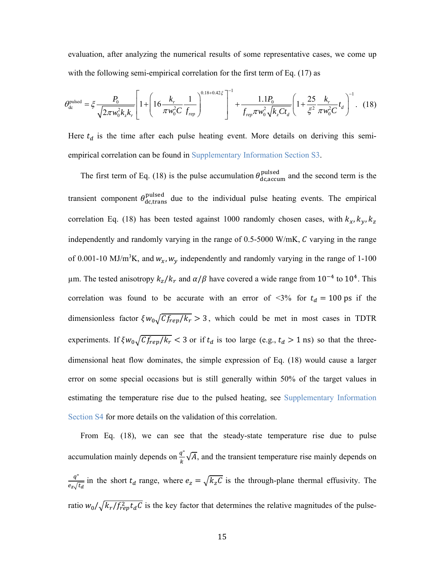evaluation, after analyzing the numerical results of some representative cases, we come up with the following semi-empirical correlation for the first term of Eq. (17) as

$$
\theta_{\rm dc}^{\rm pulsed} = \xi \frac{P_0}{\sqrt{2\pi w_0^2 k_z k_r}} \left[ 1 + \left( 16 \frac{k_r}{\pi w_0^2 C} \frac{1}{f_{\rm rep}} \right)^{0.18 + 0.42\zeta} \right]^{-1} + \frac{1.1 P_0}{f_{\rm rep} \pi w_0^2 \sqrt{k_z C t_d}} \left( 1 + \frac{25}{\zeta^2} \frac{k_r}{\pi w_0^2 C} t_d \right)^{-1} . \tag{18}
$$

Here  $t_d$  is the time after each pulse heating event. More details on deriving this semiempirical correlation can be found in Supplementary Information Section S3.

The first term of Eq. (18) is the pulse accumulation  $\theta_{\text{dc,accum}}^{\text{pulsed}}$  and the second term is the transient component  $\theta_{\text{dc,trans}}^{\text{pulsed}}$  due to the individual pulse heating events. The empirical correlation Eq. (18) has been tested against 1000 randomly chosen cases, with  $k_x$ ,  $k_y$ ,  $k_z$ independently and randomly varying in the range of  $0.5$ -5000 W/mK,  $C$  varying in the range of 0.001-10 MJ/m<sup>3</sup>K, and  $w_x$ ,  $w_y$  independently and randomly varying in the range of 1-100 μm. The tested anisotropy  $k_z / k_r$  and  $\alpha / \beta$  have covered a wide range from 10<sup>-4</sup> to 10<sup>4</sup>. This correlation was found to be accurate with an error of <3% for  $t_d = 100$  ps if the dimensionless factor  $\zeta w_0 \sqrt{C_f_{rep}/k_r} > 3$ , which could be met in most cases in TDTR experiments. If  $\zeta w_0 \sqrt{C_f_{rep}/k_r}$  < 3 or if  $t_d$  is too large (e.g.,  $t_d > 1$  ns) so that the threedimensional heat flow dominates, the simple expression of Eq. (18) would cause a larger error on some special occasions but is still generally within 50% of the target values in estimating the temperature rise due to the pulsed heating, see Supplementary Information Section S4 for more details on the validation of this correlation.

From Eq. (18), we can see that the steady-state temperature rise due to pulse accumulation mainly depends on  $\frac{q^n}{k} \sqrt{A}$ , and the transient temperature rise mainly depends on  $q$ "  $\frac{q}{e_z/\bar{t}_d}$  in the short  $t_d$  range, where  $e_z = \sqrt{k_z C}$  is the through-plane thermal effusivity. The ratio  $w_0/\sqrt{k_r/f_{rep}^2 t_d C}$  is the key factor that determines the relative magnitudes of the pulse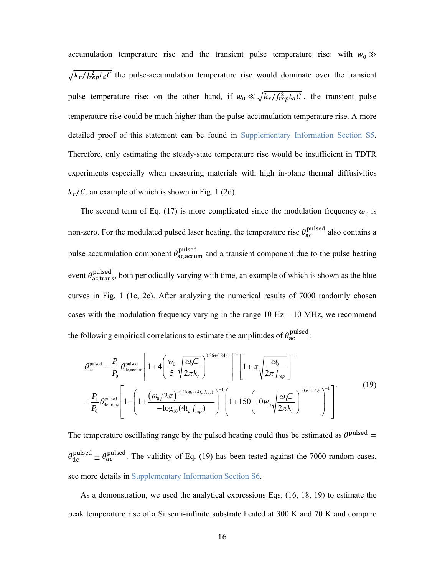accumulation temperature rise and the transient pulse temperature rise: with  $w_0 \gg$  $\sqrt{k_r/f_{rep}^2 t_d C}$  the pulse-accumulation temperature rise would dominate over the transient pulse temperature rise; on the other hand, if  $w_0 \ll \sqrt{k_r/f_{rep}^2 t_d C}$ , the transient pulse temperature rise could be much higher than the pulse-accumulation temperature rise. A more detailed proof of this statement can be found in Supplementary Information Section S5. Therefore, only estimating the steady-state temperature rise would be insufficient in TDTR experiments especially when measuring materials with high in-plane thermal diffusivities  $k_r/\mathcal{C}$ , an example of which is shown in Fig. 1 (2d).

The second term of Eq. (17) is more complicated since the modulation frequency  $\omega_0$  is non-zero. For the modulated pulsed laser heating, the temperature rise  $\theta_{\rm ac}^{\rm pulsed}$  also contains a pulse accumulation component  $\theta_{\text{ac,accum}}^{\text{pulsed}}$  and a transient component due to the pulse heating event  $\theta_{\text{ac,trans}}^{\text{pulsed}}$ , both periodically varying with time, an example of which is shown as the blue curves in Fig. 1 (1c, 2c). After analyzing the numerical results of 7000 randomly chosen cases with the modulation frequency varying in the range  $10$  Hz  $-$  10 MHz, we recommend the following empirical correlations to estimate the amplitudes of  $\theta_{\rm ac}^{\rm pulsed}$ :

$$
\theta_{ac}^{\text{pulsed}} = \frac{P_1}{P_0} \theta_{dc, \text{accum}}^{\text{pulsed}} \left[ 1 + 4 \left( \frac{w_0}{5} \sqrt{\frac{\omega_0 C}{2\pi k_r}} \right)^{0.36 + 0.84 \xi} \right]^{-1} \left[ 1 + \pi \sqrt{\frac{\omega_0}{2\pi f_{rep}}} \right]^{-1}
$$
\n
$$
+ \frac{P_1}{P_0} \theta_{dc, \text{trans}}^{\text{pulsed}} \left[ 1 - \left( 1 + \frac{(\omega_0 / 2\pi)^{-0.1 \log_{10} (4t_d f_{rep})}}{-\log_{10} (4t_d f_{rep})} \right)^{-1} \left( 1 + 150 \left( 10w_0 \sqrt{\frac{\omega_0 C}{2\pi k_r}} \right)^{-0.6 - 1.4 \xi} \right)^{-1} \right] \tag{19}
$$

The temperature oscillating range by the pulsed heating could thus be estimated as  $\theta^{\text{pulsed}} =$  $\theta_{\rm dc}^{\rm pulsed} \pm \theta_{\rm ac}^{\rm pulsed}$ . The validity of Eq. (19) has been tested against the 7000 random cases, see more details in Supplementary Information Section S6.

As a demonstration, we used the analytical expressions Eqs. (16, 18, 19) to estimate the peak temperature rise of a Si semi-infinite substrate heated at 300 K and 70 K and compare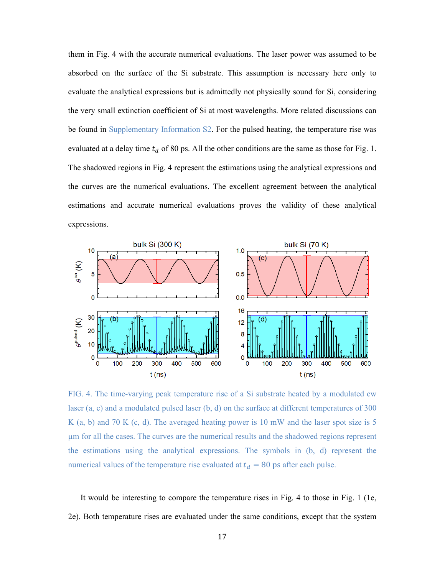them in Fig. 4 with the accurate numerical evaluations. The laser power was assumed to be absorbed on the surface of the Si substrate. This assumption is necessary here only to evaluate the analytical expressions but is admittedly not physically sound for Si, considering the very small extinction coefficient of Si at most wavelengths. More related discussions can be found in Supplementary Information S2. For the pulsed heating, the temperature rise was evaluated at a delay time  $t_d$  of 80 ps. All the other conditions are the same as those for Fig. 1. The shadowed regions in Fig. 4 represent the estimations using the analytical expressions and the curves are the numerical evaluations. The excellent agreement between the analytical estimations and accurate numerical evaluations proves the validity of these analytical expressions.



FIG. 4. The time-varying peak temperature rise of a Si substrate heated by a modulated cw laser (a, c) and a modulated pulsed laser (b, d) on the surface at different temperatures of 300 K (a, b) and 70 K (c, d). The averaged heating power is  $10 \text{ mW}$  and the laser spot size is 5 µm for all the cases. The curves are the numerical results and the shadowed regions represent the estimations using the analytical expressions. The symbols in (b, d) represent the numerical values of the temperature rise evaluated at  $t_d = 80$  ps after each pulse.

It would be interesting to compare the temperature rises in Fig. 4 to those in Fig. 1 (1e, 2e). Both temperature rises are evaluated under the same conditions, except that the system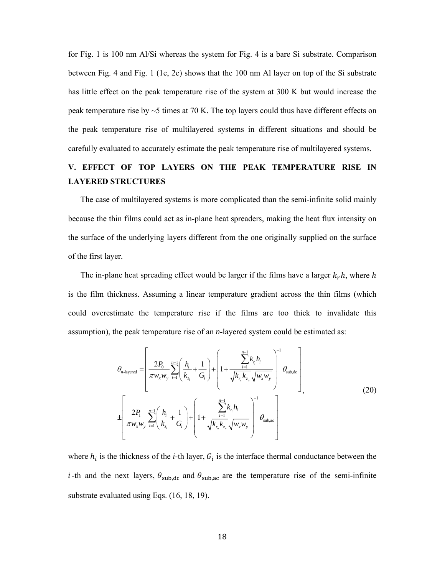for Fig. 1 is 100 nm Al/Si whereas the system for Fig. 4 is a bare Si substrate. Comparison between Fig. 4 and Fig. 1 (1e, 2e) shows that the 100 nm Al layer on top of the Si substrate has little effect on the peak temperature rise of the system at 300 K but would increase the peak temperature rise by  $\sim$ 5 times at 70 K. The top layers could thus have different effects on the peak temperature rise of multilayered systems in different situations and should be carefully evaluated to accurately estimate the peak temperature rise of multilayered systems.

## **V. EFFECT OF TOP LAYERS ON THE PEAK TEMPERATURE RISE IN LAYERED STRUCTURES**

The case of multilayered systems is more complicated than the semi-infinite solid mainly because the thin films could act as in-plane heat spreaders, making the heat flux intensity on the surface of the underlying layers different from the one originally supplied on the surface of the first layer.

The in-plane heat spreading effect would be larger if the films have a larger  $k_r h$ , where h is the film thickness. Assuming a linear temperature gradient across the thin films (which could overestimate the temperature rise if the films are too thick to invalidate this assumption), the peak temperature rise of an *n*-layered system could be estimated as:

$$
\theta_{n\text{-layered}} = \left[ \frac{2P_0}{\pi w_x w_y} \sum_{i=1}^{n-1} \left( \frac{h_i}{k_{z_i}} + \frac{1}{G_i} \right) + \left( 1 + \frac{\sum_{i=1}^{n-1} k_{r_i} h_i}{\sqrt{k_{r_n} k_{z_n}} \sqrt{w_x w_y}} \right)^{-1} \theta_{\text{sub,dc}} \right]_n
$$
\n
$$
\pm \left[ \frac{2P_1}{\pi w_x w_y} \sum_{i=1}^{n-1} \left( \frac{h_i}{k_{z_i}} + \frac{1}{G_i} \right) + \left( 1 + \frac{\sum_{i=1}^{n-1} k_{r_i} h_i}{\sqrt{k_{r_n} k_{z_n}} \sqrt{w_x w_y}} \right)^{-1} \theta_{\text{sub,ac}} \right]
$$
\n(20)

where  $h_i$  is the thickness of the *i*-th layer,  $G_i$  is the interface thermal conductance between the *i*-th and the next layers,  $\theta_{sub,dc}$  and  $\theta_{sub,ac}$  are the temperature rise of the semi-infinite substrate evaluated using Eqs. (16, 18, 19).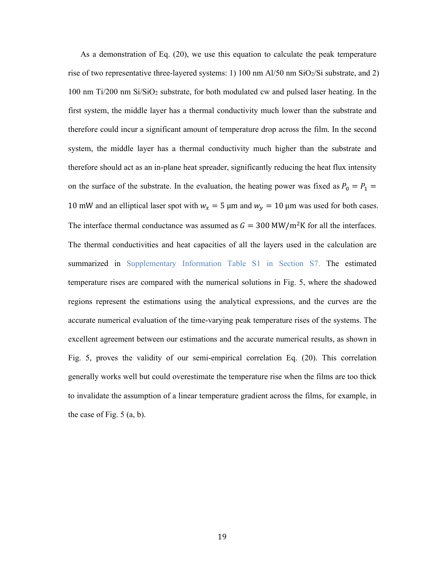As a demonstration of Eq. (20), we use this equation to calculate the peak temperature rise of two representative three-layered systems: 1) 100 nm Al/50 nm SiO2/Si substrate, and 2) 100 nm Ti/200 nm Si/SiO2 substrate, for both modulated cw and pulsed laser heating. In the first system, the middle layer has a thermal conductivity much lower than the substrate and therefore could incur a significant amount of temperature drop across the film. In the second system, the middle layer has a thermal conductivity much higher than the substrate and therefore should act as an in-plane heat spreader, significantly reducing the heat flux intensity on the surface of the substrate. In the evaluation, the heating power was fixed as  $P_0 = P_1 =$ 10 mW and an elliptical laser spot with  $w_x = 5 \mu m$  and  $w_y = 10 \mu m$  was used for both cases. The interface thermal conductance was assumed as  $G = 300 \text{ MW/m}^2 \text{K}$  for all the interfaces. The thermal conductivities and heat capacities of all the layers used in the calculation are summarized in Supplementary Information Table S1 in Section S7. The estimated temperature rises are compared with the numerical solutions in Fig. 5, where the shadowed regions represent the estimations using the analytical expressions, and the curves are the accurate numerical evaluation of the time-varying peak temperature rises of the systems. The excellent agreement between our estimations and the accurate numerical results, as shown in Fig. 5, proves the validity of our semi-empirical correlation Eq. (20). This correlation generally works well but could overestimate the temperature rise when the films are too thick to invalidate the assumption of a linear temperature gradient across the films, for example, in the case of Fig. 5 (a, b).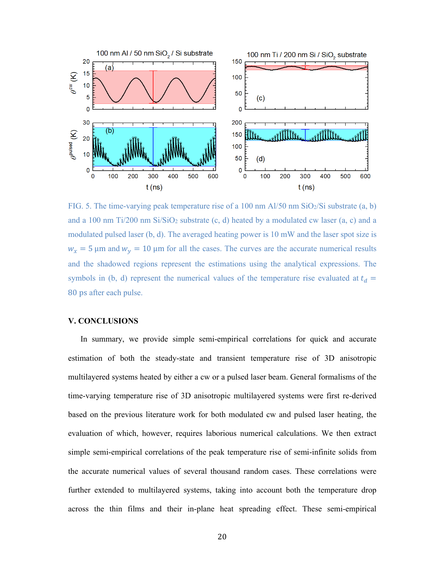

FIG. 5. The time-varying peak temperature rise of a 100 nm  $Al/50$  nm  $SiO_2/Si$  substrate (a, b) and a 100 nm  $Ti/200$  nm  $Si/SiO<sub>2</sub>$  substrate (c, d) heated by a modulated cw laser (a, c) and a modulated pulsed laser (b, d). The averaged heating power is 10 mW and the laser spot size is  $w_x = 5 \mu m$  and  $w_y = 10 \mu m$  for all the cases. The curves are the accurate numerical results and the shadowed regions represent the estimations using the analytical expressions. The symbols in (b, d) represent the numerical values of the temperature rise evaluated at  $t_d =$ 80 ps after each pulse.

### **V. CONCLUSIONS**

In summary, we provide simple semi-empirical correlations for quick and accurate estimation of both the steady-state and transient temperature rise of 3D anisotropic multilayered systems heated by either a cw or a pulsed laser beam. General formalisms of the time-varying temperature rise of 3D anisotropic multilayered systems were first re-derived based on the previous literature work for both modulated cw and pulsed laser heating, the evaluation of which, however, requires laborious numerical calculations. We then extract simple semi-empirical correlations of the peak temperature rise of semi-infinite solids from the accurate numerical values of several thousand random cases. These correlations were further extended to multilayered systems, taking into account both the temperature drop across the thin films and their in-plane heat spreading effect. These semi-empirical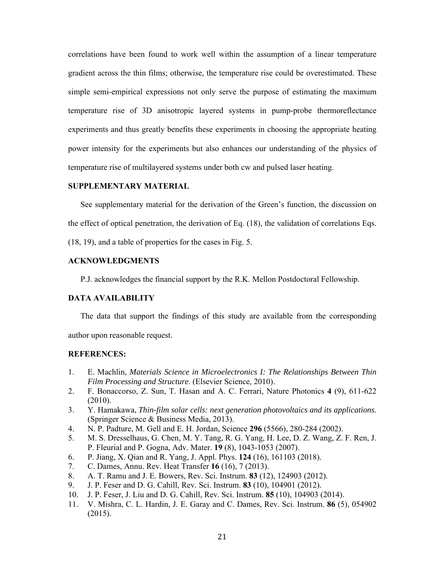correlations have been found to work well within the assumption of a linear temperature gradient across the thin films; otherwise, the temperature rise could be overestimated. These simple semi-empirical expressions not only serve the purpose of estimating the maximum temperature rise of 3D anisotropic layered systems in pump-probe thermoreflectance experiments and thus greatly benefits these experiments in choosing the appropriate heating power intensity for the experiments but also enhances our understanding of the physics of temperature rise of multilayered systems under both cw and pulsed laser heating.

### **SUPPLEMENTARY MATERIAL**

See supplementary material for the derivation of the Green's function, the discussion on the effect of optical penetration, the derivation of Eq. (18), the validation of correlations Eqs.

(18, 19), and a table of properties for the cases in Fig. 5.

### **ACKNOWLEDGMENTS**

P.J. acknowledges the financial support by the R.K. Mellon Postdoctoral Fellowship.

### **DATA AVAILABILITY**

The data that support the findings of this study are available from the corresponding author upon reasonable request.

#### **REFERENCES:**

- 1. E. Machlin, *Materials Science in Microelectronics I: The Relationships Between Thin Film Processing and Structure*. (Elsevier Science, 2010).
- 2. F. Bonaccorso, Z. Sun, T. Hasan and A. C. Ferrari, Nature Photonics **4** (9), 611-622 (2010).
- 3. Y. Hamakawa, *Thin-film solar cells: next generation photovoltaics and its applications*. (Springer Science & Business Media, 2013).
- 4. N. P. Padture, M. Gell and E. H. Jordan, Science **296** (5566), 280-284 (2002).
- 5. M. S. Dresselhaus, G. Chen, M. Y. Tang, R. G. Yang, H. Lee, D. Z. Wang, Z. F. Ren, J. P. Fleurial and P. Gogna, Adv. Mater. **19** (8), 1043-1053 (2007).
- 6. P. Jiang, X. Qian and R. Yang, J. Appl. Phys. **124** (16), 161103 (2018).
- 7. C. Dames, Annu. Rev. Heat Transfer **16** (16), 7 (2013).
- 8. A. T. Ramu and J. E. Bowers, Rev. Sci. Instrum. **83** (12), 124903 (2012).
- 9. J. P. Feser and D. G. Cahill, Rev. Sci. Instrum. **83** (10), 104901 (2012).
- 10. J. P. Feser, J. Liu and D. G. Cahill, Rev. Sci. Instrum. **85** (10), 104903 (2014).
- 11. V. Mishra, C. L. Hardin, J. E. Garay and C. Dames, Rev. Sci. Instrum. **86** (5), 054902 (2015).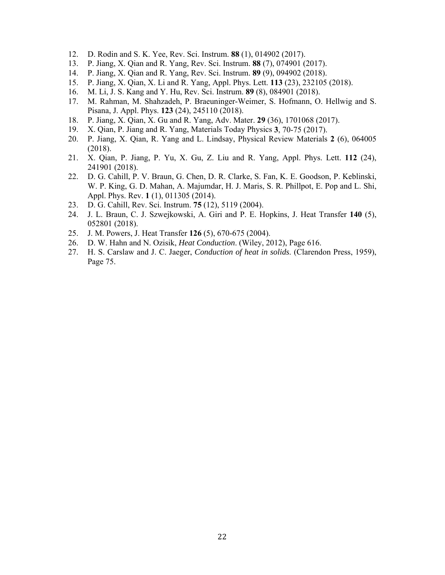- 12. D. Rodin and S. K. Yee, Rev. Sci. Instrum. **88** (1), 014902 (2017).
- 13. P. Jiang, X. Qian and R. Yang, Rev. Sci. Instrum. **88** (7), 074901 (2017).
- 14. P. Jiang, X. Qian and R. Yang, Rev. Sci. Instrum. **89** (9), 094902 (2018).
- 15. P. Jiang, X. Qian, X. Li and R. Yang, Appl. Phys. Lett. **113** (23), 232105 (2018).
- 16. M. Li, J. S. Kang and Y. Hu, Rev. Sci. Instrum. **89** (8), 084901 (2018).
- 17. M. Rahman, M. Shahzadeh, P. Braeuninger-Weimer, S. Hofmann, O. Hellwig and S. Pisana, J. Appl. Phys. **123** (24), 245110 (2018).
- 18. P. Jiang, X. Qian, X. Gu and R. Yang, Adv. Mater. **29** (36), 1701068 (2017).
- 19. X. Qian, P. Jiang and R. Yang, Materials Today Physics **3**, 70-75 (2017).
- 20. P. Jiang, X. Qian, R. Yang and L. Lindsay, Physical Review Materials **2** (6), 064005 (2018).
- 21. X. Qian, P. Jiang, P. Yu, X. Gu, Z. Liu and R. Yang, Appl. Phys. Lett. **112** (24), 241901 (2018).
- 22. D. G. Cahill, P. V. Braun, G. Chen, D. R. Clarke, S. Fan, K. E. Goodson, P. Keblinski, W. P. King, G. D. Mahan, A. Majumdar, H. J. Maris, S. R. Phillpot, E. Pop and L. Shi, Appl. Phys. Rev. **1** (1), 011305 (2014).
- 23. D. G. Cahill, Rev. Sci. Instrum. **75** (12), 5119 (2004).
- 24. J. L. Braun, C. J. Szwejkowski, A. Giri and P. E. Hopkins, J. Heat Transfer **140** (5), 052801 (2018).
- 25. J. M. Powers, J. Heat Transfer **126** (5), 670-675 (2004).
- 26. D. W. Hahn and N. Ozisik, *Heat Conduction*. (Wiley, 2012), Page 616.
- 27. H. S. Carslaw and J. C. Jaeger, *Conduction of heat in solids*. (Clarendon Press, 1959), Page 75.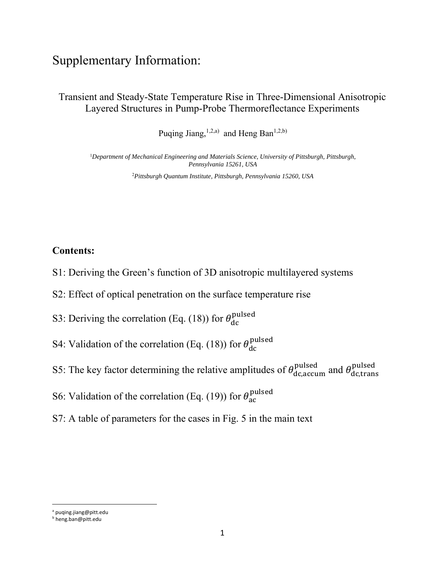# Supplementary Information:

Transient and Steady-State Temperature Rise in Three-Dimensional Anisotropic Layered Structures in Pump-Probe Thermoreflectance Experiments

Puqing Jiang,  $^{1,2,a)}$  and Heng Ban<sup>1,2,b)</sup>

<sup>1</sup>*Department of Mechanical Engineering and Materials Science, University of Pittsburgh, Pittsburgh, Pennsylvania 15261, USA* 

<sup>2</sup>*Pittsburgh Quantum Institute, Pittsburgh, Pennsylvania 15260, USA* 

### **Contents:**

- S1: Deriving the Green's function of 3D anisotropic multilayered systems
- S2: Effect of optical penetration on the surface temperature rise
- S3: Deriving the correlation (Eq. (18)) for  $\theta_{dc}^{pulsed}$
- S4: Validation of the correlation (Eq. (18)) for  $\theta_{dc}^{pulsed}$
- S5: The key factor determining the relative amplitudes of  $\theta_{\rm dc,accum}^{\rm pulsed}$  and  $\theta_{\rm dc,trans}^{\rm pulsed}$
- S6: Validation of the correlation (Eq. (19)) for  $\theta_{\rm ac}^{\rm pulsed}$
- S7: A table of parameters for the cases in Fig. 5 in the main text

a puqing.jiang@pitt.edu

b heng.ban@pitt.edu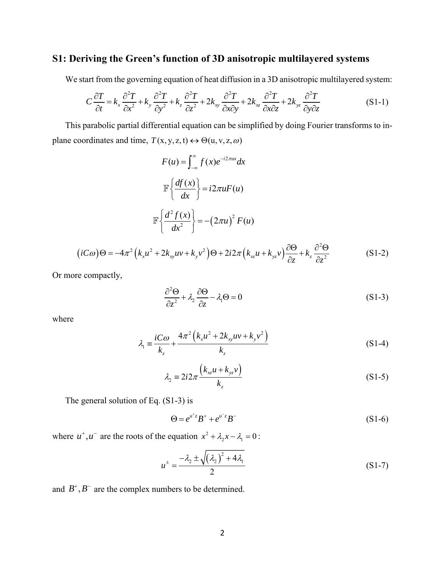## **S1: Deriving the Green's function of 3D anisotropic multilayered systems**

We start from the governing equation of heat diffusion in a 3D anisotropic multilayered system:

$$
C\frac{\partial T}{\partial t} = k_x \frac{\partial^2 T}{\partial x^2} + k_y \frac{\partial^2 T}{\partial y^2} + k_z \frac{\partial^2 T}{\partial z^2} + 2k_{xy} \frac{\partial^2 T}{\partial x \partial y} + 2k_{xz} \frac{\partial^2 T}{\partial x \partial z} + 2k_{yz} \frac{\partial^2 T}{\partial y \partial z}
$$
(S1-1)

This parabolic partial differential equation can be simplified by doing Fourier transforms to inplane coordinates and time,  $T(x, y, z, t) \leftrightarrow \Theta(u, v, z, \omega)$ 

$$
F(u) = \int_{-\infty}^{\infty} f(x)e^{-i2\pi ux} dx
$$

$$
\mathbb{F}\left\{\frac{df(x)}{dx}\right\} = i2\pi uF(u)
$$

$$
\mathbb{F}\left\{\frac{d^2f(x)}{dx^2}\right\} = -(2\pi u)^2 F(u)
$$

$$
(iC\omega)\Theta = -4\pi^2 \left(k_x u^2 + 2k_{xy} u v + k_y v^2\right)\Theta + 2i2\pi \left(k_{xz} u + k_{yz} v\right) \frac{\partial \Theta}{\partial z} + k_z \frac{\partial^2 \Theta}{\partial z^2}
$$
(S1-2)

Or more compactly,

$$
\frac{\partial^2 \Theta}{\partial z^2} + \lambda_2 \frac{\partial \Theta}{\partial z} - \lambda_1 \Theta = 0
$$
 (S1-3)

 $\overline{a}$ 

where

$$
\lambda_1 = \frac{iC\omega}{k_z} + \frac{4\pi^2 \left(k_x u^2 + 2k_{xy} u v + k_y v^2\right)}{k_z}
$$
\n(S1-4)

$$
\lambda_2 = 2i2\pi \frac{\left(k_{xz}u + k_{yz}v\right)}{k_z} \tag{S1-5}
$$

The general solution of Eq. (S1-3) is

$$
\Theta = e^{u^+z} B^+ + e^{u^-z} B^- \tag{S1-6}
$$

where  $u^+, u^-$  are the roots of the equation  $x^2 + \lambda_2 x - \lambda_1 = 0$ :

$$
u^{\pm} = \frac{-\lambda_2 \pm \sqrt{(\lambda_2)^2 + 4\lambda_1}}{2}
$$
 (S1-7)

and  $B^+, B^-$  are the complex numbers to be determined.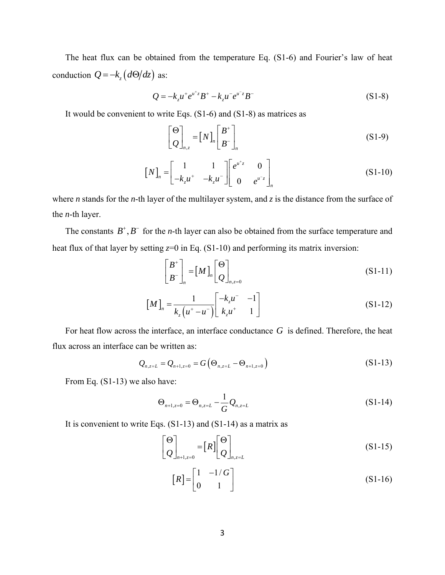The heat flux can be obtained from the temperature Eq. (S1-6) and Fourier's law of heat conduction  $Q = -k_z (d\Theta/dz)$  as:

$$
Q = -k_z u^+ e^{u^+ z} B^+ - k_z u^- e^{u^- z} B^- \tag{S1-8}
$$

It would be convenient to write Eqs. (S1-6) and (S1-8) as matrices as

$$
\begin{bmatrix} \Theta \\ Q \end{bmatrix}_{n,z} = [N]_n \begin{bmatrix} B^+ \\ B^- \end{bmatrix}_n
$$
 (S1-9)

$$
\begin{bmatrix} N \end{bmatrix}_n = \begin{bmatrix} 1 & 1 \ -k_z u^+ & -k_z u^- \end{bmatrix} \begin{bmatrix} e^{u^+ z} & 0 \ 0 & e^{u^- z} \end{bmatrix}_n \tag{S1-10}
$$

where *n* stands for the *n*-th layer of the multilayer system, and *z* is the distance from the surface of the *n*-th layer.

The constants  $B^+$ ,  $B^-$  for the *n*-th layer can also be obtained from the surface temperature and heat flux of that layer by setting  $z=0$  in Eq. (S1-10) and performing its matrix inversion:

$$
\begin{bmatrix} B^+ \\ B^- \end{bmatrix}_n = [M]_n \begin{bmatrix} \Theta \\ Q \end{bmatrix}_{n,z=0}
$$
 (S1-11)

$$
\left[M\right]_n = \frac{1}{k_z \left(u^+ - u^-\right)} \begin{bmatrix} -k_z u^- & -1\\ k_z u^+ & 1 \end{bmatrix} \tag{S1-12}
$$

For heat flow across the interface, an interface conductance *G* is defined. Therefore, the heat flux across an interface can be written as:

$$
Q_{n,z=L} = Q_{n+1,z=0} = G(\Theta_{n,z=L} - \Theta_{n+1,z=0})
$$
\n(S1-13)

From Eq. (S1-13) we also have:

$$
\Theta_{n+1,z=0} = \Theta_{n,z=L} - \frac{1}{G} Q_{n,z=L}
$$
\n(S1-14)

It is convenient to write Eqs. (S1-13) and (S1-14) as a matrix as

$$
\begin{bmatrix} \Theta \\ Q \end{bmatrix}_{n+1,z=0} = [R] \begin{bmatrix} \Theta \\ Q \end{bmatrix}_{n,z=L}
$$
 (S1-15)

$$
[R] = \begin{bmatrix} 1 & -1/G \\ 0 & 1 \end{bmatrix}
$$
 (S1-16)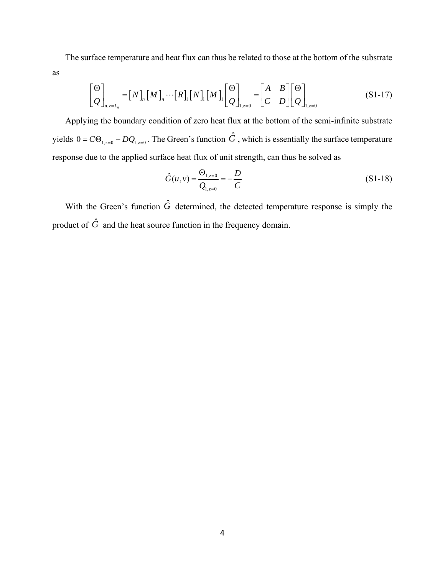The surface temperature and heat flux can thus be related to those at the bottom of the substrate as

$$
\begin{bmatrix} \Theta \\ Q \end{bmatrix}_{n,z=L_n} = [N]_n [M]_n \cdots [R]_1 [N]_1 [M]_1 \begin{bmatrix} \Theta \\ Q \end{bmatrix}_{1,z=0} = \begin{bmatrix} A & B \\ C & D \end{bmatrix} \begin{bmatrix} \Theta \\ Q \end{bmatrix}_{1,z=0}
$$
 (S1-17)

Applying the boundary condition of zero heat flux at the bottom of the semi-infinite substrate yields  $0 = C \Theta_{1, z=0} + D Q_{1, z=0}$ . The Green's function  $\hat{G}$ , which is essentially the surface temperature response due to the applied surface heat flux of unit strength, can thus be solved as

$$
\hat{G}(u,v) = \frac{\Theta_{1,z=0}}{Q_{1,z=0}} = -\frac{D}{C}
$$
\n(S1-18)

With the Green's function  $\hat{G}$  determined, the detected temperature response is simply the product of  $\hat{G}$  and the heat source function in the frequency domain.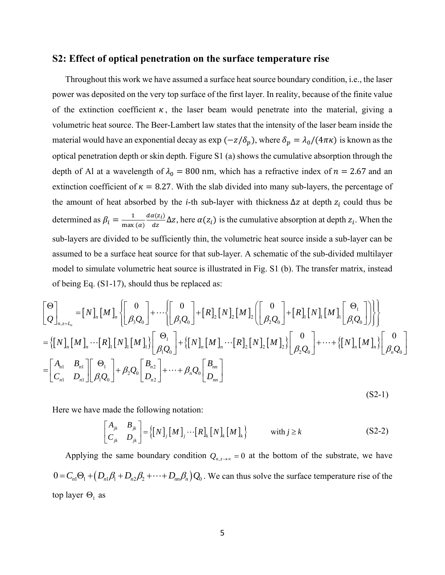### **S2: Effect of optical penetration on the surface temperature rise**

Throughout this work we have assumed a surface heat source boundary condition, i.e., the laser power was deposited on the very top surface of the first layer. In reality, because of the finite value of the extinction coefficient  $\kappa$ , the laser beam would penetrate into the material, giving a volumetric heat source. The Beer-Lambert law states that the intensity of the laser beam inside the material would have an exponential decay as  $\exp(-z/\delta_p)$ , where  $\delta_p = \lambda_0/(4\pi\kappa)$  is known as the optical penetration depth or skin depth. Figure S1 (a) shows the cumulative absorption through the depth of Al at a wavelength of  $\lambda_0 = 800$  nm, which has a refractive index of  $n = 2.67$  and an extinction coefficient of  $\kappa = 8.27$ . With the slab divided into many sub-layers, the percentage of the amount of heat absorbed by the *i*-th sub-layer with thickness  $\Delta z$  at depth  $z_i$  could thus be determined as  $\beta_i = \frac{1}{\max(\alpha)}$  $d\alpha(z_i)$  $\frac{\lambda(z_i)}{dz} \Delta z$ , here  $\alpha(z_i)$  is the cumulative absorption at depth  $z_i$ . When the sub-layers are divided to be sufficiently thin, the volumetric heat source inside a sub-layer can be assumed to be a surface heat source for that sub-layer. A schematic of the sub-divided multilayer model to simulate volumetric heat source is illustrated in Fig. S1 (b). The transfer matrix, instead of being Eq. (S1-17), should thus be replaced as:

$$
\begin{aligned}\n&\begin{bmatrix}\n\Theta \\
Q\n\end{bmatrix}_{n,z=L_n} = [N]_n [M]_n \left\{ \begin{bmatrix}\n0 \\
\beta_3 Q_0\n\end{bmatrix} + \cdots \left\{ \begin{bmatrix}\n0 \\
\beta_3 Q_0\n\end{bmatrix} + [R]_2 [N]_2 [M]_2 \left( \begin{bmatrix}\n0 \\
\beta_2 Q_0\n\end{bmatrix} + [R]_1 [N]_1 [M]_1 \begin{bmatrix}\n\Theta_1 \\
\beta_1 Q_0\n\end{bmatrix} \right) \right\} \right\} \\
&= \left\{ [N]_n [M]_n \cdots [R]_1 [N]_1 [M]_1 \right\} \left[ \begin{bmatrix}\n\Theta_1 \\
\beta_1 Q_0\n\end{bmatrix} + \left\{ [N]_n [M]_n \cdots [R]_2 [N]_2 [M]_2 \right\} \begin{bmatrix}\n0 \\
\beta_2 Q_0\n\end{bmatrix} + \cdots + \left\{ [N]_n [M]_n \right\} \begin{bmatrix}\n0 \\
\beta_n Q_0\n\end{bmatrix} \right] \\
&= \begin{bmatrix}\nA_{n1} & B_{n1} \\
C_{n1} & D_{n1}\n\end{bmatrix} \begin{bmatrix}\n\Theta_1 \\
\beta_1 Q_0\n\end{bmatrix} + \beta_2 Q_0 \begin{bmatrix}\nB_{n2} \\
D_{n2}\n\end{bmatrix} + \cdots + \beta_n Q_0 \begin{bmatrix}\nB_{nn} \\
D_{nn}\n\end{bmatrix}\n\end{aligned}
$$

 $(S2-1)$ 

Here we have made the following notation:

$$
\begin{bmatrix} A_{jk} & B_{jk} \\ C_{jk} & D_{jk} \end{bmatrix} = \left\{ \begin{bmatrix} N \end{bmatrix}_j \begin{bmatrix} M \end{bmatrix}_j \cdots \begin{bmatrix} R \end{bmatrix}_k \begin{bmatrix} N \end{bmatrix}_k \begin{bmatrix} M \end{bmatrix}_k \right\} \qquad \text{with } j \ge k \tag{S2-2}
$$

Applying the same boundary condition  $Q_{n,z\to\infty} = 0$  at the bottom of the substrate, we have  $0 = C_{n1} \Theta_1 + (D_{n1} \beta_1 + D_{n2} \beta_2 + \cdots + D_{nm} \beta_n) Q_0$ . We can thus solve the surface temperature rise of the top layer  $\Theta_1$  as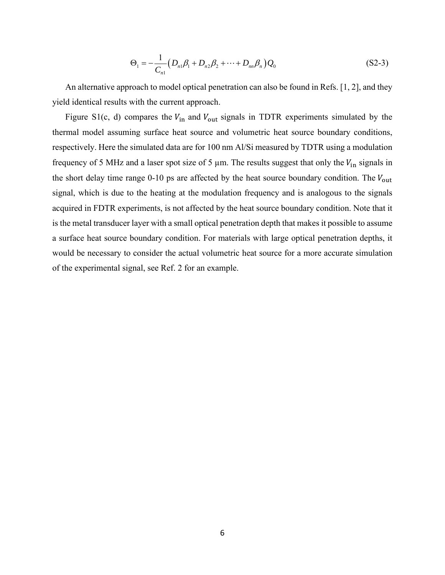$$
\Theta_1 = -\frac{1}{C_{n1}} \left( D_{n1} \beta_1 + D_{n2} \beta_2 + \dots + D_{nn} \beta_n \right) Q_0 \tag{S2-3}
$$

An alternative approach to model optical penetration can also be found in Refs. [1, 2], and they yield identical results with the current approach.

Figure S1(c, d) compares the  $V_{\text{in}}$  and  $V_{\text{out}}$  signals in TDTR experiments simulated by the thermal model assuming surface heat source and volumetric heat source boundary conditions, respectively. Here the simulated data are for 100 nm Al/Si measured by TDTR using a modulation frequency of 5 MHz and a laser spot size of 5  $\mu$ m. The results suggest that only the  $V_{\text{in}}$  signals in the short delay time range 0-10 ps are affected by the heat source boundary condition. The  $V_{\text{out}}$ signal, which is due to the heating at the modulation frequency and is analogous to the signals acquired in FDTR experiments, is not affected by the heat source boundary condition. Note that it is the metal transducer layer with a small optical penetration depth that makes it possible to assume a surface heat source boundary condition. For materials with large optical penetration depths, it would be necessary to consider the actual volumetric heat source for a more accurate simulation of the experimental signal, see Ref. 2 for an example.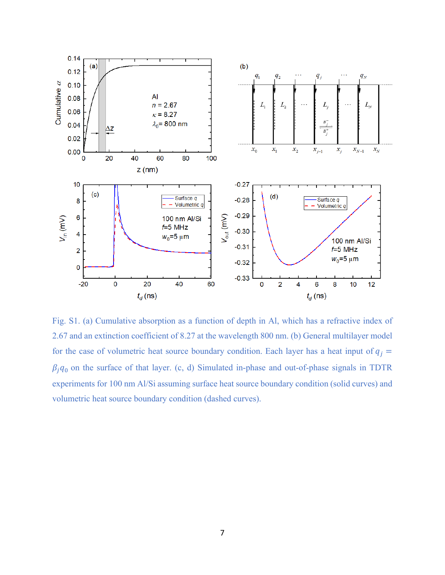

Fig. S1. (a) Cumulative absorption as a function of depth in Al, which has a refractive index of 2.67 and an extinction coefficient of 8.27 at the wavelength 800 nm. (b) General multilayer model for the case of volumetric heat source boundary condition. Each layer has a heat input of  $q_j =$  $\beta_j q_0$  on the surface of that layer. (c, d) Simulated in-phase and out-of-phase signals in TDTR experiments for 100 nm Al/Si assuming surface heat source boundary condition (solid curves) and volumetric heat source boundary condition (dashed curves).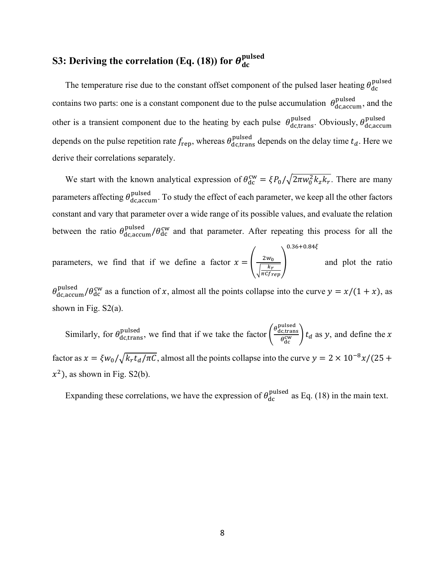# **S3:** Deriving the correlation (Eq. (18)) for  $\theta_{\text{dc}}^{\text{pulsed}}$

The temperature rise due to the constant offset component of the pulsed laser heating  $\theta_{\text{dc}}^{\text{pulsed}}$ contains two parts: one is a constant component due to the pulse accumulation  $\theta_{\rm dc,accum}^{\rm pulsed}$ , and the other is a transient component due to the heating by each pulse  $\theta_{\text{dc,trans}}^{\text{pulsed}}$ . Obviously,  $\theta_{\text{dc,accum}}^{\text{pulsed}}$ depends on the pulse repetition rate  $f_{\text{rep}}$ , whereas  $\theta_{\text{dc,trans}}^{\text{pulsed}}$  depends on the delay time  $t_d$ . Here we derive their correlations separately.

We start with the known analytical expression of  $\theta_{dc}^{cw} = \xi P_0 / \sqrt{2\pi w_0^2 k_z k_r}$ . There are many parameters affecting  $\theta_{dc,accum}^{pulsed}$ . To study the effect of each parameter, we keep all the other factors constant and vary that parameter over a wide range of its possible values, and evaluate the relation between the ratio  $\theta_{dc,accum}^{pulsed}/\theta_{dc}^{cw}$  and that parameter. After repeating this process for all the

parameters, we find that if we define a factor  $x = \frac{2w_0}{\sqrt{2w_0}}$  $\frac{2W_0}{\sqrt{\frac{k_r}{\pi C f_{rep}}}}$  $0.36 + 0.84\xi$ and plot the ratio

 $\theta_{\text{dc,accum}}^{\text{pulsed}}/\theta_{\text{dc}}^{\text{cw}}$  as a function of x, almost all the points collapse into the curve  $y = x/(1 + x)$ , as shown in Fig.  $S2(a)$ .

Similarly, for  $\theta_{\text{dc,trans}}^{\text{pulsed}}$ , we find that if we take the factor  $\left(\frac{\theta_{\text{dc,trans}}^{\text{pulsed}}}{\theta_{\text{cw}}^{\text{cw}}}\right)$  $\left(\frac{\partial f_{\text{c}}}{\partial \phi_{\text{d}}^{\text{cw}}}\right) t_d$  as y, and define the x factor as  $x = \frac{\xi w_0}{\sqrt{k_r t_d/\pi C}}$ , almost all the points collapse into the curve  $y = 2 \times 10^{-8} x/(25 +$  $x^2$ ), as shown in Fig. S2(b).

Expanding these correlations, we have the expression of  $\theta_{dc}^{pulsed}$  as Eq. (18) in the main text.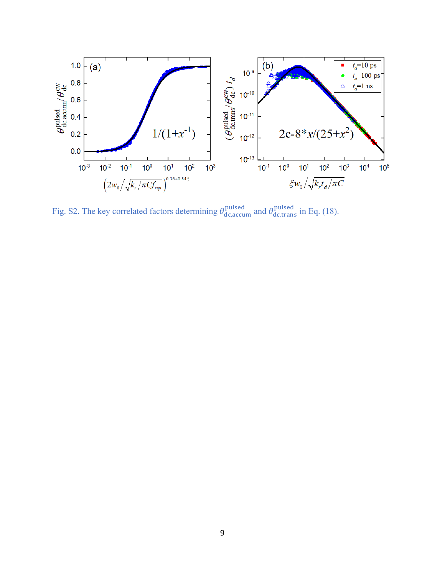

Fig. S2. The key correlated factors determining  $\theta_{dc,accum}^{pulsed}$  and  $\theta_{dc,trans}^{pulsed}$  in Eq. (18).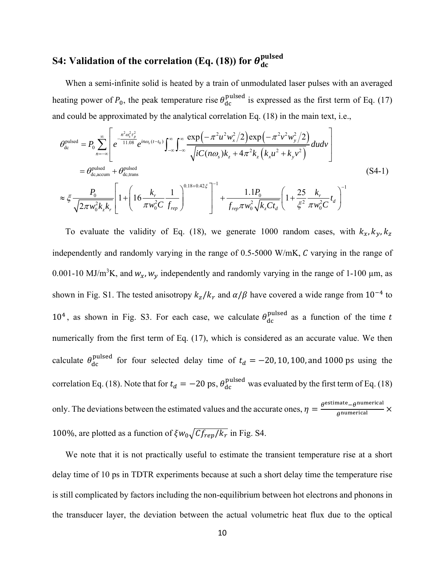# **S4:** Validation of the correlation (Eq. (18)) for  $\theta^{\rm pulsed}_{\rm dc}$

When a semi-infinite solid is heated by a train of unmodulated laser pulses with an averaged heating power of  $P_0$ , the peak temperature rise  $\theta_{dc}^{pulsed}$  is expressed as the first term of Eq. (17) and could be approximated by the analytical correlation Eq. (18) in the main text, i.e.,

$$
\theta_{\text{dc}}^{\text{pulsed}} = P_0 \sum_{n=-\infty}^{\infty} \left[ e^{\frac{-n^2 \omega_s^2 \tau_p^2}{11.08}} e^{in\omega_s (t-t_0)} \int_{-\infty}^{\infty} \int_{-\infty}^{\infty} \frac{\exp(-\pi^2 u^2 w_x^2/2) \exp(-\pi^2 v^2 w_y^2/2)}{\sqrt{i C(n\omega_s) k_z + 4\pi^2 k_z (k_x u^2 + k_y v^2)}} dudv \right]
$$
\n
$$
= \theta_{\text{dc,accum}}^{\text{pulsed}} + \theta_{\text{dc,trans}}^{\text{pulsed}} + \theta_{\text{dc,trans}}^{\text{pulsed}} \left[ 1 + \left( 16 \frac{k_r}{\pi w_0^2 C} \frac{1}{f_{rep}} \right)^{0.18 + 0.42 \xi} \right]^{-1} + \frac{1.1 P_0}{f_{rep} \pi w_0^2 \sqrt{k_z C t_d}} \left( 1 + \frac{25}{\xi^2} \frac{k_r}{\pi w_0^2 C} t_d \right)^{-1}
$$
\n(S4-1)

To evaluate the validity of Eq. (18), we generate 1000 random cases, with  $k_x, k_y, k_z$ independently and randomly varying in the range of  $0.5-5000$  W/mK,  $C$  varying in the range of 0.001-10 MJ/m<sup>3</sup>K, and  $w_x$ ,  $w_y$  independently and randomly varying in the range of 1-100  $\mu$ m, as shown in Fig. S1. The tested anisotropy  $k_z / k_r$  and  $\alpha / \beta$  have covered a wide range from  $10^{-4}$  to 10<sup>4</sup>, as shown in Fig. S3. For each case, we calculate  $\theta_{dc}^{\text{pulsed}}$  as a function of the time t numerically from the first term of Eq. (17), which is considered as an accurate value. We then calculate  $\theta_{\rm dc}^{\rm pulsed}$  for four selected delay time of  $t_d = -20, 10, 100,$  and 1000 ps using the correlation Eq. (18). Note that for  $t_d = -20$  ps,  $\theta_{dc}^{pulsed}$  was evaluated by the first term of Eq. (18) only. The deviations between the estimated values and the accurate ones,  $\eta = \frac{\theta^{\text{estimate}} - \theta^{\text{numeric}}}{\theta^{\text{numerical}}} \times$ 100%, are plotted as a function of  $\zeta w_0 \sqrt{C_f_{rep}/k_r}$  in Fig. S4.

We note that it is not practically useful to estimate the transient temperature rise at a short delay time of 10 ps in TDTR experiments because at such a short delay time the temperature rise is still complicated by factors including the non-equilibrium between hot electrons and phonons in the transducer layer, the deviation between the actual volumetric heat flux due to the optical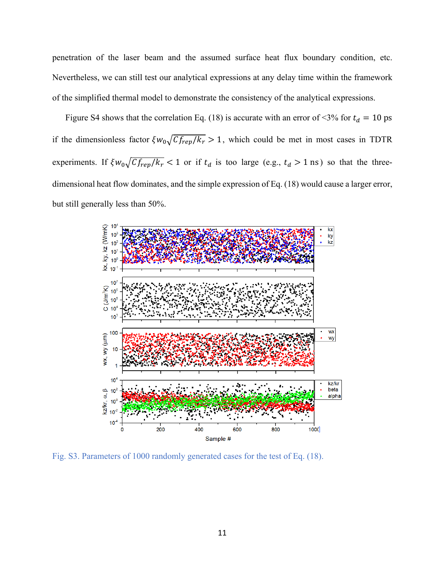penetration of the laser beam and the assumed surface heat flux boundary condition, etc. Nevertheless, we can still test our analytical expressions at any delay time within the framework of the simplified thermal model to demonstrate the consistency of the analytical expressions.

Figure S4 shows that the correlation Eq. (18) is accurate with an error of <3% for  $t_d = 10$  ps if the dimensionless factor  $\zeta w_0 \sqrt{C_f_{rep}/k_r} > 1$ , which could be met in most cases in TDTR experiments. If  $\zeta w_0 \sqrt{C_f_{rep}/k_r}$  < 1 or if  $t_d$  is too large (e.g.,  $t_d > 1$  ns) so that the threedimensional heat flow dominates, and the simple expression of Eq. (18) would cause a larger error, but still generally less than 50%.



Fig. S3. Parameters of 1000 randomly generated cases for the test of Eq. (18).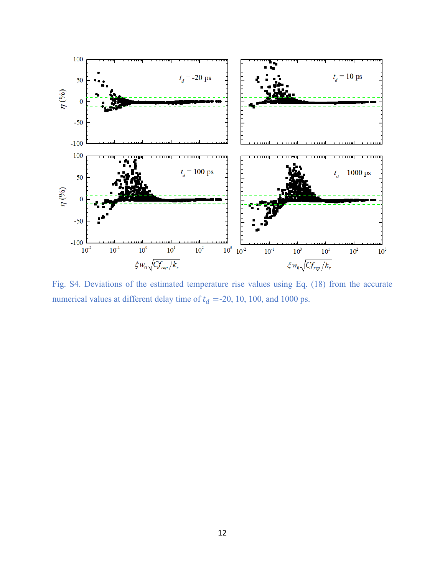

Fig. S4. Deviations of the estimated temperature rise values using Eq. (18) from the accurate numerical values at different delay time of  $t_d$  =-20, 10, 100, and 1000 ps.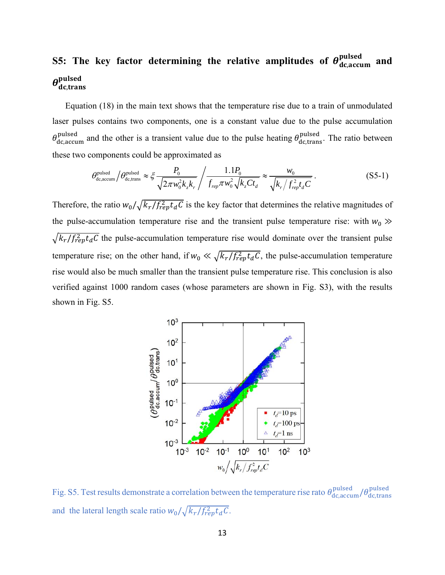# S5: The key factor determining the relative amplitudes of  $\theta_{\rm dc,accum}^{\rm pulsed}$  and  $\boldsymbol{\theta}_{\text{dc},\text{trans}}^{\text{pulsed}}$

Equation (18) in the main text shows that the temperature rise due to a train of unmodulated laser pulses contains two components, one is a constant value due to the pulse accumulation  $\theta_{\rm dc,accum}^{\rm pulsed}$  and the other is a transient value due to the pulse heating  $\theta_{\rm dc,trans}^{\rm pulsed}$ . The ratio between these two components could be approximated as

$$
\theta_{\text{dc,accum}}^{\text{pulsed}} / \theta_{\text{dc,trans}}^{\text{pulsed}} \approx \xi \frac{P_0}{\sqrt{2\pi w_0^2 k_z k_r}} / \frac{1.1 P_0}{f_{\text{rep}} \pi w_0^2 \sqrt{k_z C t_d}} \approx \frac{w_0}{\sqrt{k_r / f_{\text{rep}}^2 t_d C}}.
$$
\n(S5-1)

Therefore, the ratio  $w_0 / \sqrt{k_r / f_{rep}^2 t_d C}$  is the key factor that determines the relative magnitudes of the pulse-accumulation temperature rise and the transient pulse temperature rise: with  $w_0 \gg$  $\sqrt{k_r/f_{rep}^2 t_d C}$  the pulse-accumulation temperature rise would dominate over the transient pulse temperature rise; on the other hand, if  $w_0 \ll \sqrt{k_r/f_{rep}^2 t_d C}$ , the pulse-accumulation temperature rise would also be much smaller than the transient pulse temperature rise. This conclusion is also verified against 1000 random cases (whose parameters are shown in Fig. S3), with the results shown in Fig. S5.



Fig. S5. Test results demonstrate a correlation between the temperature rise rato  $\theta_{\rm dc,accum}^{\rm pulsed}/\theta_{\rm dc,trans}^{\rm pulsed}$ and the lateral length scale ratio  $w_0/\sqrt{k_r/f_{rep}^2 t_d C}$ .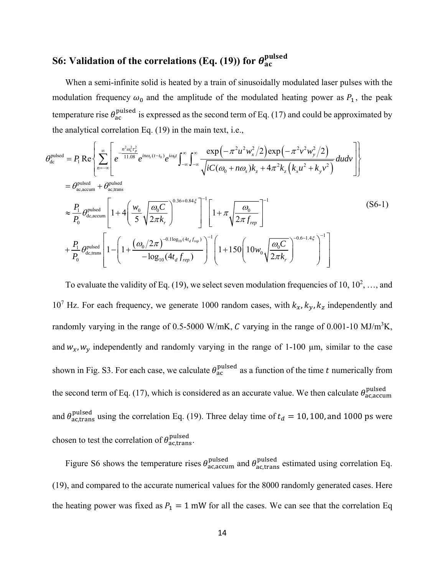# S6: Validation of the correlations (Eq. (19)) for  $\bm{\theta}_{\text{ac}}^{\text{pulsed}}$

When a semi-infinite solid is heated by a train of sinusoidally modulated laser pulses with the modulation frequency  $\omega_0$  and the amplitude of the modulated heating power as  $P_1$ , the peak temperature rise  $\theta_{\rm ac}^{\rm pulsed}$  is expressed as the second term of Eq. (17) and could be approximated by the analytical correlation Eq. (19) in the main text, i.e.,

$$
\theta_{\text{dc}}^{\text{pulsed}} = P_1 \text{Re} \left\{ \sum_{n=-\infty}^{\infty} \left[ e^{\frac{-n^2 \omega_s^2 r_p^2}{11.08}} e^{in\omega_s (t-t_0)} e^{i\omega_0 t} \int_{-\infty}^{\infty} \int_{-\infty}^{\infty} \frac{\exp\left(-\pi^2 u^2 w_x^2/2\right) \exp\left(-\pi^2 v^2 w_y^2/2\right)}{\sqrt{i C(\omega_0 + n\omega_s) k_z + 4\pi^2 k_z \left(k_x u^2 + k_y v^2\right)}} du dv \right] \right\}
$$
\n
$$
= \theta_{\text{ac,accum}}^{\text{pulsed}} + \theta_{\text{ac,trans}}^{\text{pulsed}} \left[ 1 + 4 \left( \frac{w_0}{5} \sqrt{\frac{\omega_0 C}{2\pi k_r}} \right)^{0.36 + 0.84\zeta} \right]^{-1} \left[ 1 + \pi \sqrt{\frac{\omega_0}{2\pi f_{rep}}} \right]^{-1}
$$
\n
$$
+ \frac{P_1}{P_0} \theta_{\text{dc,trans}}^{\text{pulsed}} \left[ 1 - \left( 1 + \frac{(\omega_0/2\pi)^{-0.1 \log_{10}(4t_d f_{rep})}}{-\log_{10}(4t_d f_{rep})} \right)^{-1} \left( 1 + 150 \left( 10 w_0 \sqrt{\frac{\omega_0 C}{2\pi k_r}} \right)^{-0.6 - 1.4\zeta} \right)^{-1} \right]
$$
\n(S6-1)

To evaluate the validity of Eq. (19), we select seven modulation frequencies of 10,  $10^2$ , ..., and 10<sup>7</sup> Hz. For each frequency, we generate 1000 random cases, with  $k_x$ ,  $k_y$ ,  $k_z$  independently and randomly varying in the range of 0.5-5000 W/mK, C varying in the range of 0.001-10 MJ/m<sup>3</sup>K, and  $w_x$ ,  $w_y$  independently and randomly varying in the range of 1-100 µm, similar to the case shown in Fig. S3. For each case, we calculate  $\theta_{\rm ac}^{\rm pulsed}$  as a function of the time t numerically from the second term of Eq. (17), which is considered as an accurate value. We then calculate  $\theta_{\text{ac,accum}}^{\text{pulsed}}$ and  $\theta_{\text{ac,trans}}^{\text{pulsed}}$  using the correlation Eq. (19). Three delay time of  $t_d = 10, 100$ , and 1000 ps were chosen to test the correlation of  $\theta_{\text{ac,trans}}^{\text{pulsed}}$ .

Figure S6 shows the temperature rises  $\theta_{\text{ac,accum}}^{\text{pulsed}}$  and  $\theta_{\text{ac,trans}}^{\text{pulsed}}$  estimated using correlation Eq. (19), and compared to the accurate numerical values for the 8000 randomly generated cases. Here the heating power was fixed as  $P_1 = 1$  mW for all the cases. We can see that the correlation Eq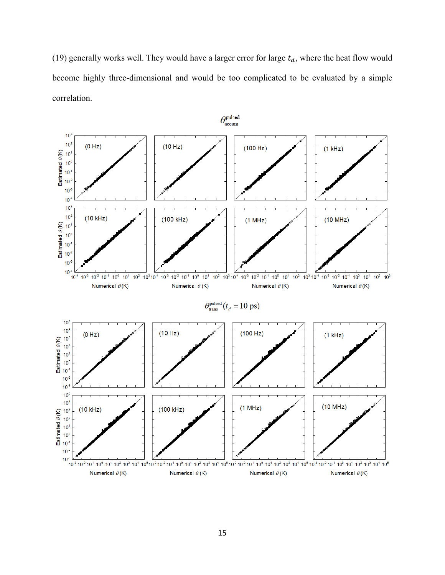(19) generally works well. They would have a larger error for large  $t_d$ , where the heat flow would become highly three-dimensional and would be too complicated to be evaluated by a simple correlation.

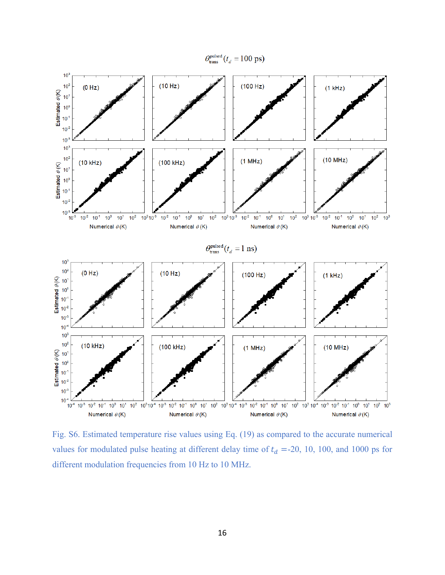

Fig. S6. Estimated temperature rise values using Eq. (19) as compared to the accurate numerical values for modulated pulse heating at different delay time of  $t_d$  =-20, 10, 100, and 1000 ps for different modulation frequencies from 10 Hz to 10 MHz.